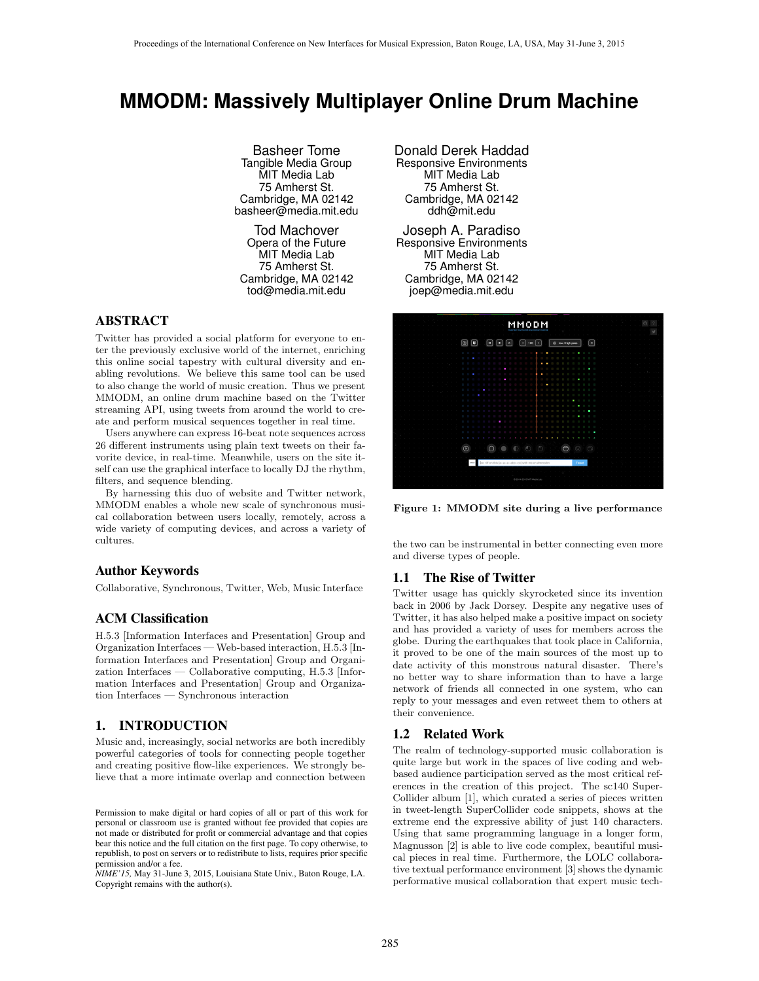# **MMODM: Massively Multiplayer Online Drum Machine**

Basheer Tome Tangible Media Group MIT Media Lab 75 Amherst St. Cambridge, MA 02142 basheer@media.mit.edu

Tod Machover Opera of the Future MIT Media Lab 75 Amherst St. Cambridge, MA 02142 tod@media.mit.edu

# ABSTRACT

Twitter has provided a social platform for everyone to enter the previously exclusive world of the internet, enriching this online social tapestry with cultural diversity and enabling revolutions. We believe this same tool can be used to also change the world of music creation. Thus we present MMODM, an online drum machine based on the Twitter streaming API, using tweets from around the world to create and perform musical sequences together in real time.

Users anywhere can express 16-beat note sequences across 26 different instruments using plain text tweets on their favorite device, in real-time. Meanwhile, users on the site itself can use the graphical interface to locally DJ the rhythm, filters, and sequence blending.

By harnessing this duo of website and Twitter network, MMODM enables a whole new scale of synchronous musical collaboration between users locally, remotely, across a wide variety of computing devices, and across a variety of cultures.

# Author Keywords

Collaborative, Synchronous, Twitter, Web, Music Interface

## ACM Classification

H.5.3 [Information Interfaces and Presentation] Group and Organization Interfaces — Web-based interaction, H.5.3 [Information Interfaces and Presentation] Group and Organization Interfaces — Collaborative computing, H.5.3 [Information Interfaces and Presentation] Group and Organization Interfaces — Synchronous interaction

# 1. INTRODUCTION

Music and, increasingly, social networks are both incredibly powerful categories of tools for connecting people together and creating positive flow-like experiences. We strongly believe that a more intimate overlap and connection between

*NIME'15,* May 31-June 3, 2015, Louisiana State Univ., Baton Rouge, LA. Copyright remains with the author(s).

Donald Derek Haddad Responsive Environments MIT Media Lab 75 Amherst St. Cambridge, MA 02142 ddh@mit.edu

Joseph A. Paradiso Responsive Environments MIT Media Lab 75 Amherst St. Cambridge, MA 02142 joep@media.mit.edu



Figure 1: MMODM site during a live performance

the two can be instrumental in better connecting even more and diverse types of people.

#### 1.1 The Rise of Twitter

Twitter usage has quickly skyrocketed since its invention back in 2006 by Jack Dorsey. Despite any negative uses of Twitter, it has also helped make a positive impact on society and has provided a variety of uses for members across the globe. During the earthquakes that took place in California, it proved to be one of the main sources of the most up to date activity of this monstrous natural disaster. There's no better way to share information than to have a large network of friends all connected in one system, who can reply to your messages and even retweet them to others at their convenience.

### 1.2 Related Work

The realm of technology-supported music collaboration is quite large but work in the spaces of live coding and webbased audience participation served as the most critical references in the creation of this project. The sc140 Super-Collider album [1], which curated a series of pieces written in tweet-length SuperCollider code snippets, shows at the extreme end the expressive ability of just 140 characters. Using that same programming language in a longer form, Magnusson [2] is able to live code complex, beautiful musical pieces in real time. Furthermore, the LOLC collaborative textual performance environment [3] shows the dynamic performative musical collaboration that expert music tech-

Permission to make digital or hard copies of all or part of this work for personal or classroom use is granted without fee provided that copies are not made or distributed for profit or commercial advantage and that copies bear this notice and the full citation on the first page. To copy otherwise, to republish, to post on servers or to redistribute to lists, requires prior specific permission and/or a fee.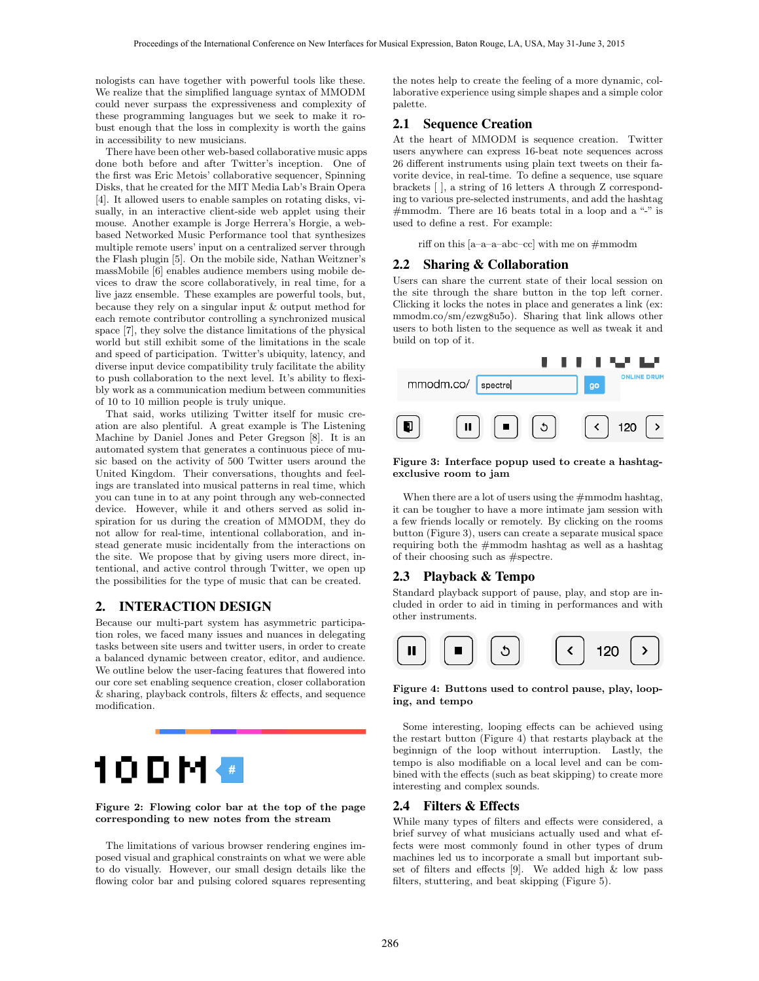nologists can have together with powerful tools like these. We realize that the simplified language syntax of MMODM could never surpass the expressiveness and complexity of these programming languages but we seek to make it robust enough that the loss in complexity is worth the gains in accessibility to new musicians.

There have been other web-based collaborative music apps done both before and after Twitter's inception. One of the first was Eric Metois' collaborative sequencer, Spinning Disks, that he created for the MIT Media Lab's Brain Opera [4]. It allowed users to enable samples on rotating disks, visually, in an interactive client-side web applet using their mouse. Another example is Jorge Herrera's Horgie, a webbased Networked Music Performance tool that synthesizes multiple remote users' input on a centralized server through the Flash plugin [5]. On the mobile side, Nathan Weitzner's massMobile [6] enables audience members using mobile devices to draw the score collaboratively, in real time, for a live jazz ensemble. These examples are powerful tools, but, because they rely on a singular input & output method for each remote contributor controlling a synchronized musical space [7], they solve the distance limitations of the physical world but still exhibit some of the limitations in the scale and speed of participation. Twitter's ubiquity, latency, and diverse input device compatibility truly facilitate the ability to push collaboration to the next level. It's ability to flexibly work as a communication medium between communities of 10 to 10 million people is truly unique.

That said, works utilizing Twitter itself for music creation are also plentiful. A great example is The Listening Machine by Daniel Jones and Peter Gregson [8]. It is an automated system that generates a continuous piece of music based on the activity of 500 Twitter users around the United Kingdom. Their conversations, thoughts and feelings are translated into musical patterns in real time, which you can tune in to at any point through any web-connected device. However, while it and others served as solid inspiration for us during the creation of MMODM, they do not allow for real-time, intentional collaboration, and instead generate music incidentally from the interactions on the site. We propose that by giving users more direct, intentional, and active control through Twitter, we open up the possibilities for the type of music that can be created.

# 2. INTERACTION DESIGN

Because our multi-part system has asymmetric participation roles, we faced many issues and nuances in delegating tasks between site users and twitter users, in order to create a balanced dynamic between creator, editor, and audience. We outline below the user-facing features that flowered into our core set enabling sequence creation, closer collaboration  $&$  sharing, playback controls, filters  $&$  effects, and sequence modification.



#### Figure 2: Flowing color bar at the top of the page corresponding to new notes from the stream

The limitations of various browser rendering engines imposed visual and graphical constraints on what we were able to do visually. However, our small design details like the flowing color bar and pulsing colored squares representing the notes help to create the feeling of a more dynamic, collaborative experience using simple shapes and a simple color palette.

## 2.1 Sequence Creation

At the heart of MMODM is sequence creation. Twitter users anywhere can express 16-beat note sequences across 26 different instruments using plain text tweets on their favorite device, in real-time. To define a sequence, use square brackets [ ], a string of 16 letters A through Z corresponding to various pre-selected instruments, and add the hashtag #mmodm. There are 16 beats total in a loop and a "-" is used to define a rest. For example:

riff on this [a–a–a–abc–cc] with me on  $\#\mathrm{mmodm}$ 

# 2.2 Sharing & Collaboration

Users can share the current state of their local session on the site through the share button in the top left corner. Clicking it locks the notes in place and generates a link (ex: mmodm.co/sm/ezwg8u5o). Sharing that link allows other users to both listen to the sequence as well as tweak it and build on top of it.



#### Figure 3: Interface popup used to create a hashtagexclusive room to jam

When there are a lot of users using the  $\#n$ mmodm hashtag, it can be tougher to have a more intimate jam session with a few friends locally or remotely. By clicking on the rooms button (Figure 3), users can create a separate musical space requiring both the #mmodm hashtag as well as a hashtag of their choosing such as #spectre.

### 2.3 Playback & Tempo

Standard playback support of pause, play, and stop are included in order to aid in timing in performances and with other instruments.



Figure 4: Buttons used to control pause, play, looping, and tempo

Some interesting, looping effects can be achieved using the restart button (Figure 4) that restarts playback at the beginnign of the loop without interruption. Lastly, the tempo is also modifiable on a local level and can be combined with the effects (such as beat skipping) to create more interesting and complex sounds.

## 2.4 Filters & Effects

While many types of filters and effects were considered, a brief survey of what musicians actually used and what effects were most commonly found in other types of drum machines led us to incorporate a small but important subset of filters and effects  $[9]$ . We added high & low pass filters, stuttering, and beat skipping (Figure 5).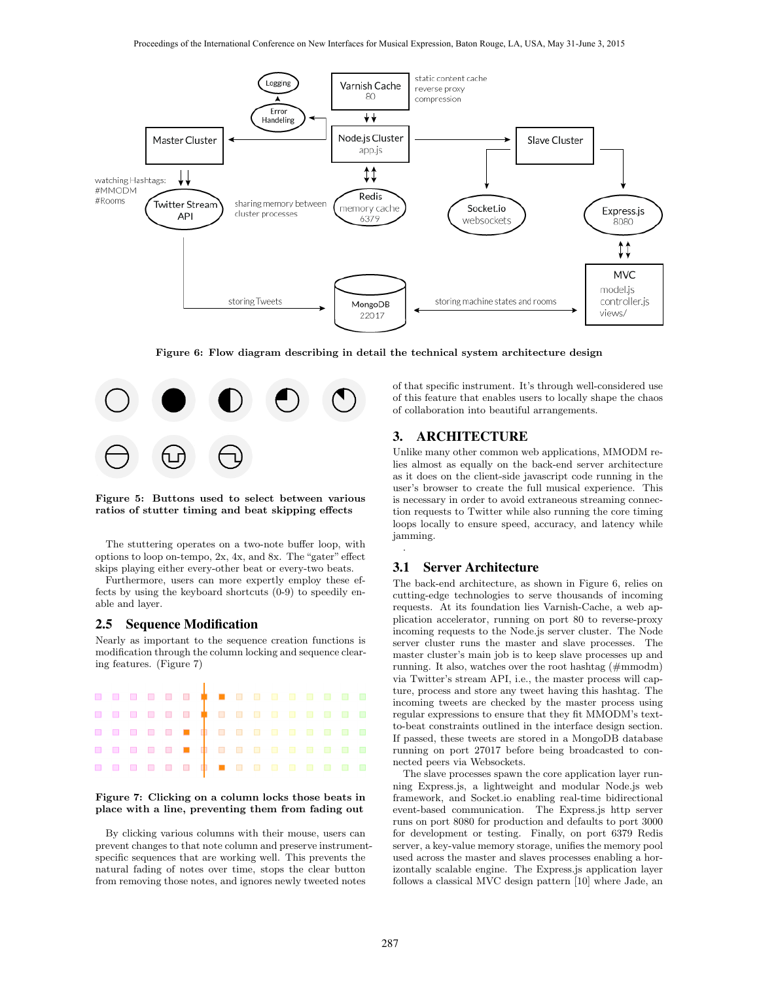

Figure 6: Flow diagram describing in detail the technical system architecture design



Figure 5: Buttons used to select between various ratios of stutter timing and beat skipping effects

The stuttering operates on a two-note buffer loop, with options to loop on-tempo,  $2x$ ,  $4x$ , and  $8x$ . The "gater" effect skips playing either every-other beat or every-two beats.

Furthermore, users can more expertly employ these effects by using the keyboard shortcuts (0-9) to speedily enable and layer.

## 2.5 Sequence Modification

Nearly as important to the sequence creation functions is modification through the column locking and sequence clearing features. (Figure 7)



#### Figure 7: Clicking on a column locks those beats in place with a line, preventing them from fading out

By clicking various columns with their mouse, users can prevent changes to that note column and preserve instrumentspecific sequences that are working well. This prevents the natural fading of notes over time, stops the clear button from removing those notes, and ignores newly tweeted notes

of that specific instrument. It's through well-considered use of this feature that enables users to locally shape the chaos of collaboration into beautiful arrangements.

# 3. ARCHITECTURE

Unlike many other common web applications, MMODM relies almost as equally on the back-end server architecture as it does on the client-side javascript code running in the user's browser to create the full musical experience. This is necessary in order to avoid extraneous streaming connection requests to Twitter while also running the core timing loops locally to ensure speed, accuracy, and latency while jamming.

#### 3.1 Server Architecture

.

The back-end architecture, as shown in Figure 6, relies on cutting-edge technologies to serve thousands of incoming requests. At its foundation lies Varnish-Cache, a web application accelerator, running on port 80 to reverse-proxy incoming requests to the Node.js server cluster. The Node server cluster runs the master and slave processes. The master cluster's main job is to keep slave processes up and running. It also, watches over the root hashtag (#mmodm) via Twitter's stream API, i.e., the master process will capture, process and store any tweet having this hashtag. The incoming tweets are checked by the master process using regular expressions to ensure that they fit MMODM's textto-beat constraints outlined in the interface design section. If passed, these tweets are stored in a MongoDB database running on port 27017 before being broadcasted to connected peers via Websockets.

The slave processes spawn the core application layer running Express.js, a lightweight and modular Node.js web framework, and Socket.io enabling real-time bidirectional event-based communication. The Express.js http server runs on port 8080 for production and defaults to port 3000 for development or testing. Finally, on port 6379 Redis server, a key-value memory storage, unifies the memory pool used across the master and slaves processes enabling a horizontally scalable engine. The Express.js application layer follows a classical MVC design pattern [10] where Jade, an